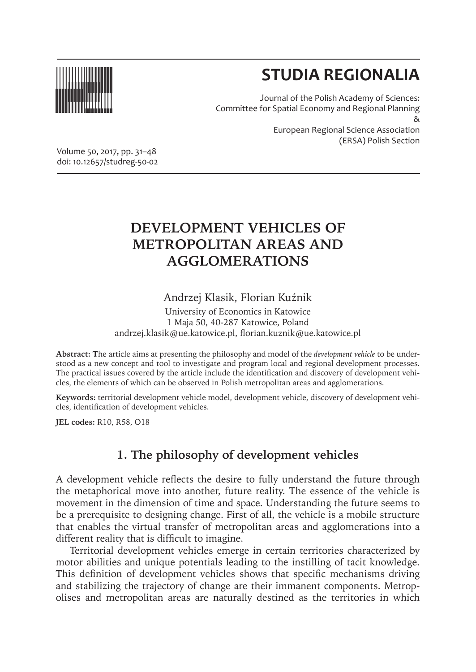

# **STUDIA REGIONALIA**

Journal of the Polish Academy of Sciences: Committee for Spatial Economy and Regional Planning & European Regional Science Association (ERSA) Polish Section

Volume 50, 2017, pp. 31–48 doi: 10.12657/studreg-50-02

## **DEVELOPMENT VEHICLES OF METROPOLITAN AREAS AND AGGLOMERATIONS**

### Andrzej Klasik, Florian Kuźnik

University of Economics in Katowice 1 Maja 50, 40-287 Katowice, Poland andrzej.klasik@ue.katowice.pl, florian.kuznik@ue.katowice.pl

**Abstract: T**he article aims at presenting the philosophy and model of the *development vehicle* to be understood as a new concept and tool to investigate and program local and regional development processes. The practical issues covered by the article include the identification and discovery of development vehicles, the elements of which can be observed in Polish metropolitan areas and agglomerations.

**Keywords:** territorial development vehicle model, development vehicle, discovery of development vehicles, identification of development vehicles.

**JEL codes:** R10, R58, O18

## **1. The philosophy of development vehicles**

A development vehicle reflects the desire to fully understand the future through the metaphorical move into another, future reality. The essence of the vehicle is movement in the dimension of time and space. Understanding the future seems to be a prerequisite to designing change. First of all, the vehicle is a mobile structure that enables the virtual transfer of metropolitan areas and agglomerations into a different reality that is difficult to imagine.

Territorial development vehicles emerge in certain territories characterized by motor abilities and unique potentials leading to the instilling of tacit knowledge. This definition of development vehicles shows that specific mechanisms driving and stabilizing the trajectory of change are their immanent components. Metropolises and metropolitan areas are naturally destined as the territories in which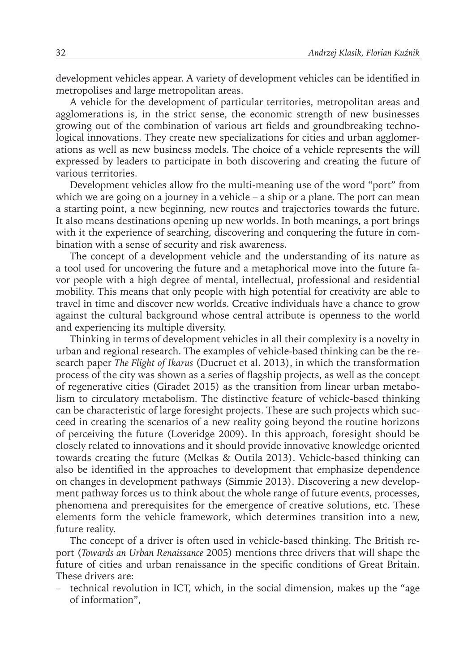development vehicles appear. A variety of development vehicles can be identified in metropolises and large metropolitan areas.

A vehicle for the development of particular territories, metropolitan areas and agglomerations is, in the strict sense, the economic strength of new businesses growing out of the combination of various art fields and groundbreaking technological innovations. They create new specializations for cities and urban agglomerations as well as new business models. The choice of a vehicle represents the will expressed by leaders to participate in both discovering and creating the future of various territories.

Development vehicles allow fro the multi-meaning use of the word "port" from which we are going on a journey in a vehicle – a ship or a plane. The port can mean a starting point, a new beginning, new routes and trajectories towards the future. It also means destinations opening up new worlds. In both meanings, a port brings with it the experience of searching, discovering and conquering the future in combination with a sense of security and risk awareness.

The concept of a development vehicle and the understanding of its nature as a tool used for uncovering the future and a metaphorical move into the future favor people with a high degree of mental, intellectual, professional and residential mobility. This means that only people with high potential for creativity are able to travel in time and discover new worlds. Creative individuals have a chance to grow against the cultural background whose central attribute is openness to the world and experiencing its multiple diversity.

Thinking in terms of development vehicles in all their complexity is a novelty in urban and regional research. The examples of vehicle-based thinking can be the research paper *The Flight of Ikarus* (Ducruet et al. 2013), in which the transformation process of the city was shown as a series of flagship projects, as well as the concept of regenerative cities (Giradet 2015) as the transition from linear urban metabolism to circulatory metabolism. The distinctive feature of vehicle-based thinking can be characteristic of large foresight projects. These are such projects which succeed in creating the scenarios of a new reality going beyond the routine horizons of perceiving the future (Loveridge 2009). In this approach, foresight should be closely related to innovations and it should provide innovative knowledge oriented towards creating the future (Melkas & Outila 2013). Vehicle-based thinking can also be identified in the approaches to development that emphasize dependence on changes in development pathways (Simmie 2013). Discovering a new development pathway forces us to think about the whole range of future events, processes, phenomena and prerequisites for the emergence of creative solutions, etc. These elements form the vehicle framework, which determines transition into a new, future reality.

The concept of a driver is often used in vehicle-based thinking. The British report (*Towards an Urban Renaissance* 2005) mentions three drivers that will shape the future of cities and urban renaissance in the specific conditions of Great Britain. These drivers are:

– technical revolution in ICT, which, in the social dimension, makes up the "age of information",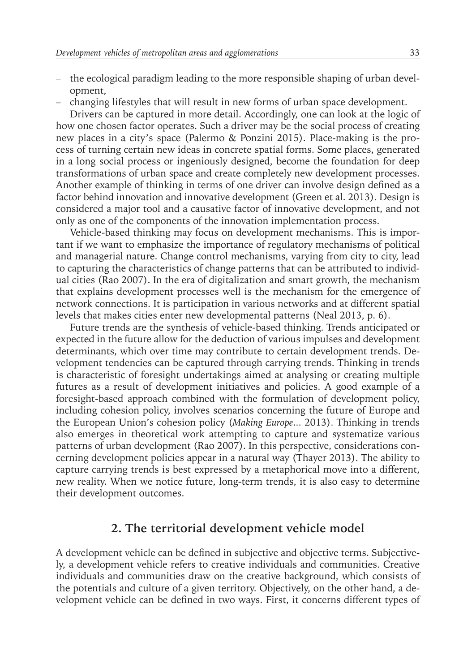- the ecological paradigm leading to the more responsible shaping of urban development,
- changing lifestyles that will result in new forms of urban space development.

Drivers can be captured in more detail. Accordingly, one can look at the logic of how one chosen factor operates. Such a driver may be the social process of creating new places in a city's space (Palermo & Ponzini 2015). Place-making is the process of turning certain new ideas in concrete spatial forms. Some places, generated in a long social process or ingeniously designed, become the foundation for deep transformations of urban space and create completely new development processes. Another example of thinking in terms of one driver can involve design defined as a factor behind innovation and innovative development (Green et al. 2013). Design is considered a major tool and a causative factor of innovative development, and not only as one of the components of the innovation implementation process.

Vehicle-based thinking may focus on development mechanisms. This is important if we want to emphasize the importance of regulatory mechanisms of political and managerial nature. Change control mechanisms, varying from city to city, lead to capturing the characteristics of change patterns that can be attributed to individual cities (Rao 2007). In the era of digitalization and smart growth, the mechanism that explains development processes well is the mechanism for the emergence of network connections. It is participation in various networks and at different spatial levels that makes cities enter new developmental patterns (Neal 2013, p. 6).

Future trends are the synthesis of vehicle-based thinking. Trends anticipated or expected in the future allow for the deduction of various impulses and development determinants, which over time may contribute to certain development trends. Development tendencies can be captured through carrying trends. Thinking in trends is characteristic of foresight undertakings aimed at analysing or creating multiple futures as a result of development initiatives and policies. A good example of a foresight-based approach combined with the formulation of development policy, including cohesion policy, involves scenarios concerning the future of Europe and the European Union's cohesion policy (*Making Europe*... 2013). Thinking in trends also emerges in theoretical work attempting to capture and systematize various patterns of urban development (Rao 2007). In this perspective, considerations concerning development policies appear in a natural way (Thayer 2013). The ability to capture carrying trends is best expressed by a metaphorical move into a different, new reality. When we notice future, long-term trends, it is also easy to determine their development outcomes.

#### **2. The territorial development vehicle model**

A development vehicle can be defined in subjective and objective terms. Subjectively, a development vehicle refers to creative individuals and communities. Creative individuals and communities draw on the creative background, which consists of the potentials and culture of a given territory. Objectively, on the other hand, a development vehicle can be defined in two ways. First, it concerns different types of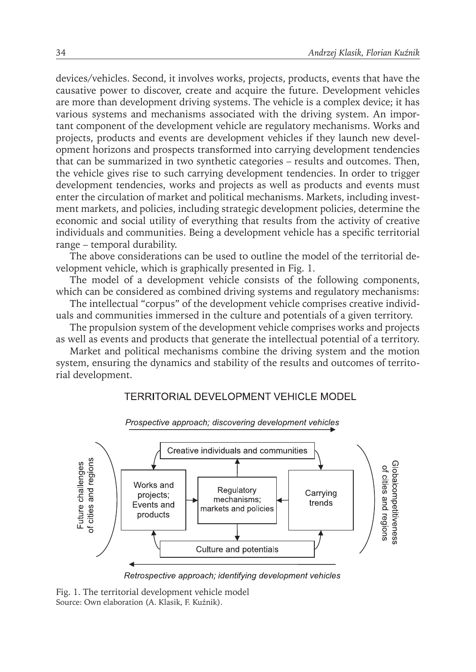devices/vehicles. Second, it involves works, projects, products, events that have the causative power to discover, create and acquire the future. Development vehicles are more than development driving systems. The vehicle is a complex device; it has various systems and mechanisms associated with the driving system. An important component of the development vehicle are regulatory mechanisms. Works and projects, products and events are development vehicles if they launch new development horizons and prospects transformed into carrying development tendencies that can be summarized in two synthetic categories – results and outcomes. Then, the vehicle gives rise to such carrying development tendencies. In order to trigger development tendencies, works and projects as well as products and events must enter the circulation of market and political mechanisms. Markets, including investment markets, and policies, including strategic development policies, determine the economic and social utility of everything that results from the activity of creative individuals and communities. Being a development vehicle has a specific territorial range – temporal durability.

The above considerations can be used to outline the model of the territorial development vehicle, which is graphically presented in Fig. 1.

The model of a development vehicle consists of the following components, which can be considered as combined driving systems and regulatory mechanisms:

The intellectual "corpus" of the development vehicle comprises creative individuals and communities immersed in the culture and potentials of a given territory.

The propulsion system of the development vehicle comprises works and projects as well as events and products that generate the intellectual potential of a territory.

Market and political mechanisms combine the driving system and the motion system, ensuring the dynamics and stability of the results and outcomes of territorial development.

#### **TERRITORIAL DEVELOPMENT VEHICLE MODEL**



Retrospective approach; identifying development vehicles

Fig. 1. The territorial development vehicle model Source: Own elaboration (A. Klasik, F. Kuźnik).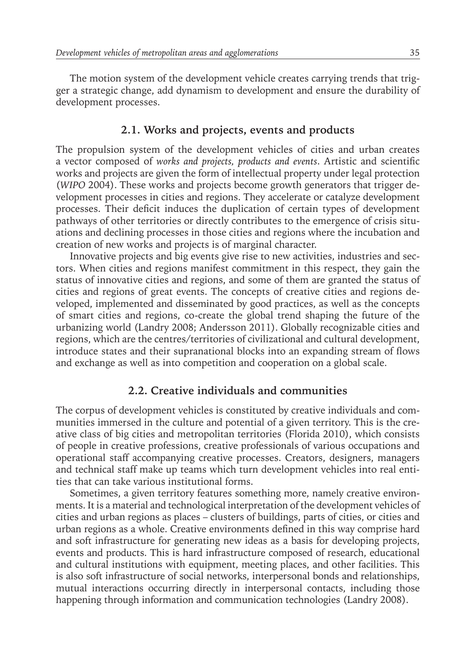The motion system of the development vehicle creates carrying trends that trigger a strategic change, add dynamism to development and ensure the durability of development processes.

#### **2.1. Works and projects, events and products**

The propulsion system of the development vehicles of cities and urban creates a vector composed of *works and projects, products and events*. Artistic and scientific works and projects are given the form of intellectual property under legal protection (*WIPO* 2004). These works and projects become growth generators that trigger development processes in cities and regions. They accelerate or catalyze development processes. Their deficit induces the duplication of certain types of development pathways of other territories or directly contributes to the emergence of crisis situations and declining processes in those cities and regions where the incubation and creation of new works and projects is of marginal character.

Innovative projects and big events give rise to new activities, industries and sectors. When cities and regions manifest commitment in this respect, they gain the status of innovative cities and regions, and some of them are granted the status of cities and regions of great events. The concepts of creative cities and regions developed, implemented and disseminated by good practices, as well as the concepts of smart cities and regions, co-create the global trend shaping the future of the urbanizing world (Landry 2008; Andersson 2011). Globally recognizable cities and regions, which are the centres/territories of civilizational and cultural development, introduce states and their supranational blocks into an expanding stream of flows and exchange as well as into competition and cooperation on a global scale.

#### **2.2. Creative individuals and communities**

The corpus of development vehicles is constituted by creative individuals and communities immersed in the culture and potential of a given territory. This is the creative class of big cities and metropolitan territories (Florida 2010), which consists of people in creative professions, creative professionals of various occupations and operational staff accompanying creative processes. Creators, designers, managers and technical staff make up teams which turn development vehicles into real entities that can take various institutional forms.

Sometimes, a given territory features something more, namely creative environments. It is a material and technological interpretation of the development vehicles of cities and urban regions as places – clusters of buildings, parts of cities, or cities and urban regions as a whole. Creative environments defined in this way comprise hard and soft infrastructure for generating new ideas as a basis for developing projects, events and products. This is hard infrastructure composed of research, educational and cultural institutions with equipment, meeting places, and other facilities. This is also soft infrastructure of social networks, interpersonal bonds and relationships, mutual interactions occurring directly in interpersonal contacts, including those happening through information and communication technologies (Landry 2008).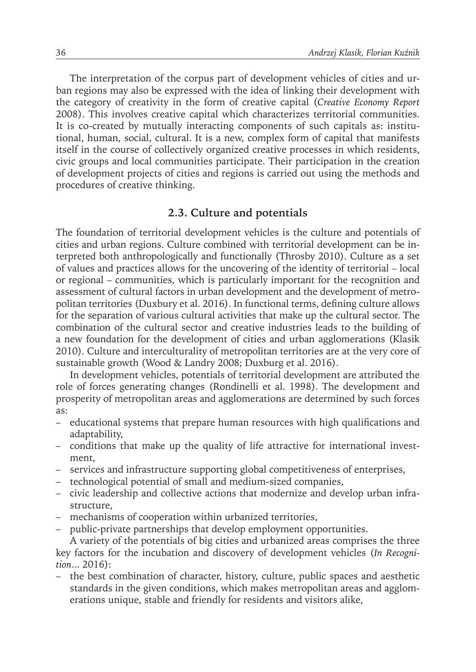The interpretation of the corpus part of development vehicles of cities and urban regions may also be expressed with the idea of linking their development with the category of creativity in the form of creative capital (*Creative Economy Report* 2008). This involves creative capital which characterizes territorial communities. It is co-created by mutually interacting components of such capitals as: institutional, human, social, cultural. It is a new, complex form of capital that manifests itself in the course of collectively organized creative processes in which residents, civic groups and local communities participate. Their participation in the creation of development projects of cities and regions is carried out using the methods and procedures of creative thinking.

#### **2.3. Culture and potentials**

The foundation of territorial development vehicles is the culture and potentials of cities and urban regions. Culture combined with territorial development can be interpreted both anthropologically and functionally (Throsby 2010). Culture as a set of values and practices allows for the uncovering of the identity of territorial – local or regional – communities, which is particularly important for the recognition and assessment of cultural factors in urban development and the development of metropolitan territories (Duxbury et al. 2016). In functional terms, defining culture allows for the separation of various cultural activities that make up the cultural sector. The combination of the cultural sector and creative industries leads to the building of a new foundation for the development of cities and urban agglomerations (Klasik 2010). Culture and interculturality of metropolitan territories are at the very core of sustainable growth (Wood & Landry 2008; Duxburg et al. 2016).

In development vehicles, potentials of territorial development are attributed the role of forces generating changes (Rondinelli et al. 1998). The development and prosperity of metropolitan areas and agglomerations are determined by such forces as:

- educational systems that prepare human resources with high qualifications and adaptability,
- conditions that make up the quality of life attractive for international investment,
- services and infrastructure supporting global competitiveness of enterprises,
- technological potential of small and medium-sized companies,
- civic leadership and collective actions that modernize and develop urban infrastructure,
- mechanisms of cooperation within urbanized territories,
- public-private partnerships that develop employment opportunities.

A variety of the potentials of big cities and urbanized areas comprises the three key factors for the incubation and discovery of development vehicles (*In Recognition*... 2016):

– the best combination of character, history, culture, public spaces and aesthetic standards in the given conditions, which makes metropolitan areas and agglomerations unique, stable and friendly for residents and visitors alike,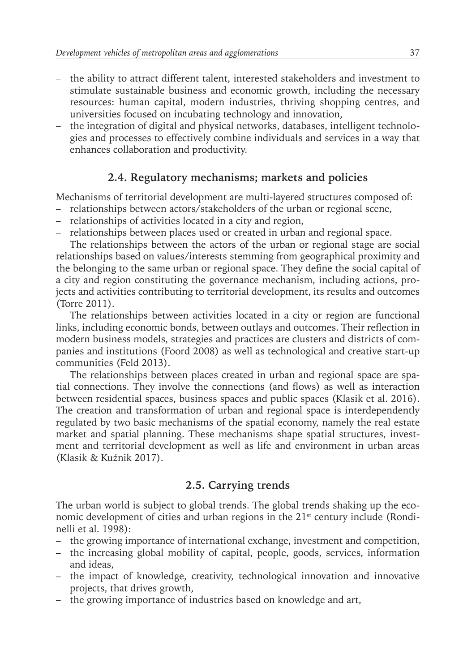- the ability to attract different talent, interested stakeholders and investment to stimulate sustainable business and economic growth, including the necessary resources: human capital, modern industries, thriving shopping centres, and universities focused on incubating technology and innovation,
- the integration of digital and physical networks, databases, intelligent technologies and processes to effectively combine individuals and services in a way that enhances collaboration and productivity.

#### **2.4. Regulatory mechanisms; markets and policies**

Mechanisms of territorial development are multi-layered structures composed of:

- relationships between actors/stakeholders of the urban or regional scene,
- relationships of activities located in a city and region,
- relationships between places used or created in urban and regional space.

The relationships between the actors of the urban or regional stage are social relationships based on values/interests stemming from geographical proximity and the belonging to the same urban or regional space. They define the social capital of a city and region constituting the governance mechanism, including actions, projects and activities contributing to territorial development, its results and outcomes (Torre 2011).

The relationships between activities located in a city or region are functional links, including economic bonds, between outlays and outcomes. Their reflection in modern business models, strategies and practices are clusters and districts of companies and institutions (Foord 2008) as well as technological and creative start-up communities (Feld 2013).

The relationships between places created in urban and regional space are spatial connections. They involve the connections (and flows) as well as interaction between residential spaces, business spaces and public spaces (Klasik et al. 2016). The creation and transformation of urban and regional space is interdependently regulated by two basic mechanisms of the spatial economy, namely the real estate market and spatial planning. These mechanisms shape spatial structures, investment and territorial development as well as life and environment in urban areas (Klasik & Kuźnik 2017).

## **2.5. Carrying trends**

The urban world is subject to global trends. The global trends shaking up the economic development of cities and urban regions in the  $21<sup>st</sup>$  century include (Rondinelli et al. 1998):

- the growing importance of international exchange, investment and competition,
- the increasing global mobility of capital, people, goods, services, information and ideas,
- the impact of knowledge, creativity, technological innovation and innovative projects, that drives growth,
- the growing importance of industries based on knowledge and art,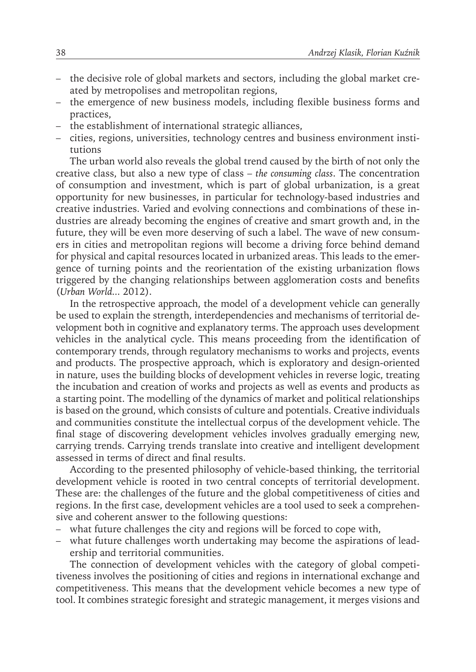- the decisive role of global markets and sectors, including the global market created by metropolises and metropolitan regions,
- the emergence of new business models, including flexible business forms and practices,
- the establishment of international strategic alliances,
- cities, regions, universities, technology centres and business environment institutions

The urban world also reveals the global trend caused by the birth of not only the creative class, but also a new type of class – *the consuming class*. The concentration of consumption and investment, which is part of global urbanization, is a great opportunity for new businesses, in particular for technology-based industries and creative industries. Varied and evolving connections and combinations of these industries are already becoming the engines of creative and smart growth and, in the future, they will be even more deserving of such a label. The wave of new consumers in cities and metropolitan regions will become a driving force behind demand for physical and capital resources located in urbanized areas. This leads to the emergence of turning points and the reorientation of the existing urbanization flows triggered by the changing relationships between agglomeration costs and benefits (*Urban World...* 2012).

In the retrospective approach, the model of a development vehicle can generally be used to explain the strength, interdependencies and mechanisms of territorial development both in cognitive and explanatory terms. The approach uses development vehicles in the analytical cycle. This means proceeding from the identification of contemporary trends, through regulatory mechanisms to works and projects, events and products. The prospective approach, which is exploratory and design-oriented in nature, uses the building blocks of development vehicles in reverse logic, treating the incubation and creation of works and projects as well as events and products as a starting point. The modelling of the dynamics of market and political relationships is based on the ground, which consists of culture and potentials. Creative individuals and communities constitute the intellectual corpus of the development vehicle. The final stage of discovering development vehicles involves gradually emerging new, carrying trends. Carrying trends translate into creative and intelligent development assessed in terms of direct and final results.

According to the presented philosophy of vehicle-based thinking, the territorial development vehicle is rooted in two central concepts of territorial development. These are: the challenges of the future and the global competitiveness of cities and regions. In the first case, development vehicles are a tool used to seek a comprehensive and coherent answer to the following questions:

- what future challenges the city and regions will be forced to cope with,
- what future challenges worth undertaking may become the aspirations of leadership and territorial communities.

The connection of development vehicles with the category of global competitiveness involves the positioning of cities and regions in international exchange and competitiveness. This means that the development vehicle becomes a new type of tool. It combines strategic foresight and strategic management, it merges visions and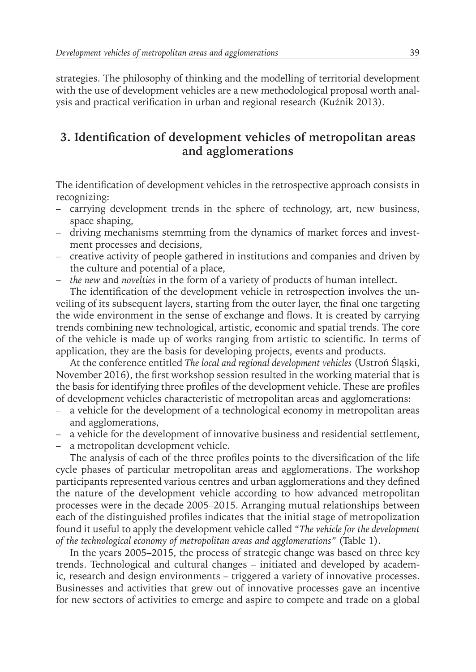strategies. The philosophy of thinking and the modelling of territorial development with the use of development vehicles are a new methodological proposal worth analysis and practical verification in urban and regional research (Kuźnik 2013).

## **3. Identification of development vehicles of metropolitan areas and agglomerations**

The identification of development vehicles in the retrospective approach consists in recognizing:

- carrying development trends in the sphere of technology, art, new business, space shaping,
- driving mechanisms stemming from the dynamics of market forces and investment processes and decisions,
- creative activity of people gathered in institutions and companies and driven by the culture and potential of a place,
- *the new* and *novelties* in the form of a variety of products of human intellect.

The identification of the development vehicle in retrospection involves the unveiling of its subsequent layers, starting from the outer layer, the final one targeting the wide environment in the sense of exchange and flows. It is created by carrying trends combining new technological, artistic, economic and spatial trends. The core of the vehicle is made up of works ranging from artistic to scientific. In terms of application, they are the basis for developing projects, events and products.

At the conference entitled *The local and regional development vehicles* (Ustroń Śląski, November 2016), the first workshop session resulted in the working material that is the basis for identifying three profiles of the development vehicle. These are profiles of development vehicles characteristic of metropolitan areas and agglomerations:

- a vehicle for the development of a technological economy in metropolitan areas and agglomerations,
- a vehicle for the development of innovative business and residential settlement,
- a metropolitan development vehicle.

The analysis of each of the three profiles points to the diversification of the life cycle phases of particular metropolitan areas and agglomerations. The workshop participants represented various centres and urban agglomerations and they defined the nature of the development vehicle according to how advanced metropolitan processes were in the decade 2005–2015. Arranging mutual relationships between each of the distinguished profiles indicates that the initial stage of metropolization found it useful to apply the development vehicle called *"The vehicle for the development of the technological economy of metropolitan areas and agglomerations"* (Table 1).

In the years 2005–2015, the process of strategic change was based on three key trends. Technological and cultural changes – initiated and developed by academic, research and design environments – triggered a variety of innovative processes. Businesses and activities that grew out of innovative processes gave an incentive for new sectors of activities to emerge and aspire to compete and trade on a global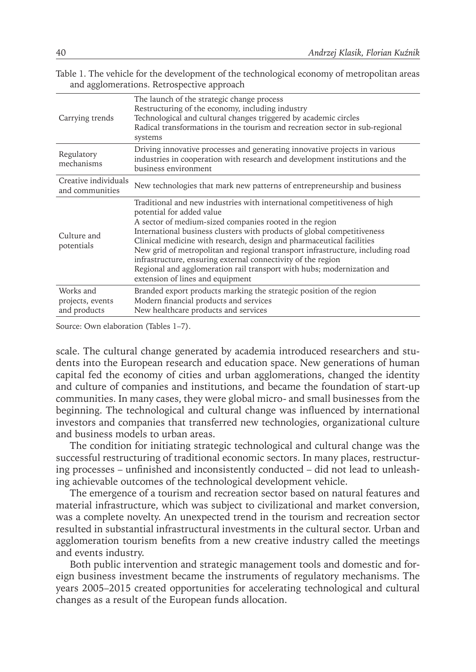|  | Table 1. The vehicle for the development of the technological economy of metropolitan areas |  |  |  |
|--|---------------------------------------------------------------------------------------------|--|--|--|
|  | and agglomerations. Retrospective approach                                                  |  |  |  |

| Carrying trends                               | The launch of the strategic change process<br>Restructuring of the economy, including industry<br>Technological and cultural changes triggered by academic circles<br>Radical transformations in the tourism and recreation sector in sub-regional<br>systems                                                                                                                                                                                                                                                                                                                         |
|-----------------------------------------------|---------------------------------------------------------------------------------------------------------------------------------------------------------------------------------------------------------------------------------------------------------------------------------------------------------------------------------------------------------------------------------------------------------------------------------------------------------------------------------------------------------------------------------------------------------------------------------------|
| Regulatory<br>mechanisms                      | Driving innovative processes and generating innovative projects in various<br>industries in cooperation with research and development institutions and the<br>business environment                                                                                                                                                                                                                                                                                                                                                                                                    |
| Creative individuals<br>and communities       | New technologies that mark new patterns of entrepreneurship and business                                                                                                                                                                                                                                                                                                                                                                                                                                                                                                              |
| Culture and<br>potentials                     | Traditional and new industries with international competitiveness of high<br>potential for added value<br>A sector of medium-sized companies rooted in the region<br>International business clusters with products of global competitiveness<br>Clinical medicine with research, design and pharmaceutical facilities<br>New grid of metropolitan and regional transport infrastructure, including road<br>infrastructure, ensuring external connectivity of the region<br>Regional and agglomeration rail transport with hubs; modernization and<br>extension of lines and equipment |
| Works and<br>projects, events<br>and products | Branded export products marking the strategic position of the region<br>Modern financial products and services<br>New healthcare products and services                                                                                                                                                                                                                                                                                                                                                                                                                                |

Source: Own elaboration (Tables 1–7).

scale. The cultural change generated by academia introduced researchers and students into the European research and education space. New generations of human capital fed the economy of cities and urban agglomerations, changed the identity and culture of companies and institutions, and became the foundation of start-up communities. In many cases, they were global micro- and small businesses from the beginning. The technological and cultural change was influenced by international investors and companies that transferred new technologies, organizational culture and business models to urban areas.

The condition for initiating strategic technological and cultural change was the successful restructuring of traditional economic sectors. In many places, restructuring processes – unfinished and inconsistently conducted – did not lead to unleashing achievable outcomes of the technological development vehicle.

The emergence of a tourism and recreation sector based on natural features and material infrastructure, which was subject to civilizational and market conversion, was a complete novelty. An unexpected trend in the tourism and recreation sector resulted in substantial infrastructural investments in the cultural sector. Urban and agglomeration tourism benefits from a new creative industry called the meetings and events industry.

Both public intervention and strategic management tools and domestic and foreign business investment became the instruments of regulatory mechanisms. The years 2005–2015 created opportunities for accelerating technological and cultural changes as a result of the European funds allocation.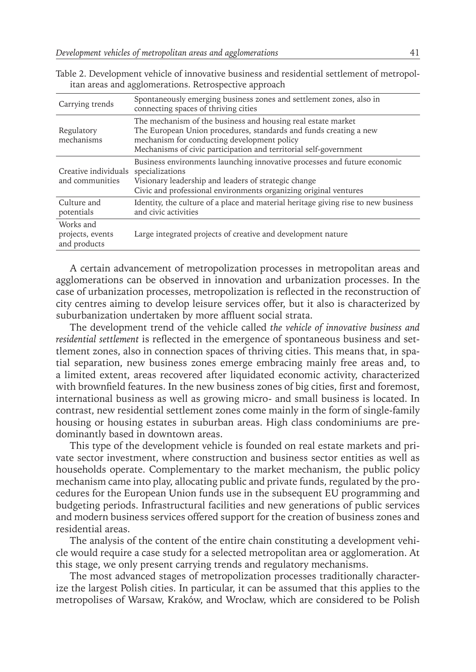| Carrying trends                               | Spontaneously emerging business zones and settlement zones, also in<br>connecting spaces of thriving cities                                                                                                                                           |  |
|-----------------------------------------------|-------------------------------------------------------------------------------------------------------------------------------------------------------------------------------------------------------------------------------------------------------|--|
| Regulatory<br>mechanisms                      | The mechanism of the business and housing real estate market<br>The European Union procedures, standards and funds creating a new<br>mechanism for conducting development policy<br>Mechanisms of civic participation and territorial self-government |  |
| Creative individuals<br>and communities       | Business environments launching innovative processes and future economic<br>specializations<br>Visionary leadership and leaders of strategic change<br>Civic and professional environments organizing original ventures                               |  |
| Culture and<br>potentials                     | Identity, the culture of a place and material heritage giving rise to new business<br>and civic activities                                                                                                                                            |  |
| Works and<br>projects, events<br>and products | Large integrated projects of creative and development nature                                                                                                                                                                                          |  |

Table 2. Development vehicle of innovative business and residential settlement of metropolitan areas and agglomerations. Retrospective approach

A certain advancement of metropolization processes in metropolitan areas and agglomerations can be observed in innovation and urbanization processes. In the case of urbanization processes, metropolization is reflected in the reconstruction of city centres aiming to develop leisure services offer, but it also is characterized by suburbanization undertaken by more affluent social strata.

The development trend of the vehicle called *the vehicle of innovative business and residential settlement* is reflected in the emergence of spontaneous business and settlement zones, also in connection spaces of thriving cities. This means that, in spatial separation, new business zones emerge embracing mainly free areas and, to a limited extent, areas recovered after liquidated economic activity, characterized with brownfield features. In the new business zones of big cities, first and foremost, international business as well as growing micro- and small business is located. In contrast, new residential settlement zones come mainly in the form of single-family housing or housing estates in suburban areas. High class condominiums are predominantly based in downtown areas.

This type of the development vehicle is founded on real estate markets and private sector investment, where construction and business sector entities as well as households operate. Complementary to the market mechanism, the public policy mechanism came into play, allocating public and private funds, regulated by the procedures for the European Union funds use in the subsequent EU programming and budgeting periods. Infrastructural facilities and new generations of public services and modern business services offered support for the creation of business zones and residential areas.

The analysis of the content of the entire chain constituting a development vehicle would require a case study for a selected metropolitan area or agglomeration. At this stage, we only present carrying trends and regulatory mechanisms.

The most advanced stages of metropolization processes traditionally characterize the largest Polish cities. In particular, it can be assumed that this applies to the metropolises of Warsaw, Kraków, and Wrocław, which are considered to be Polish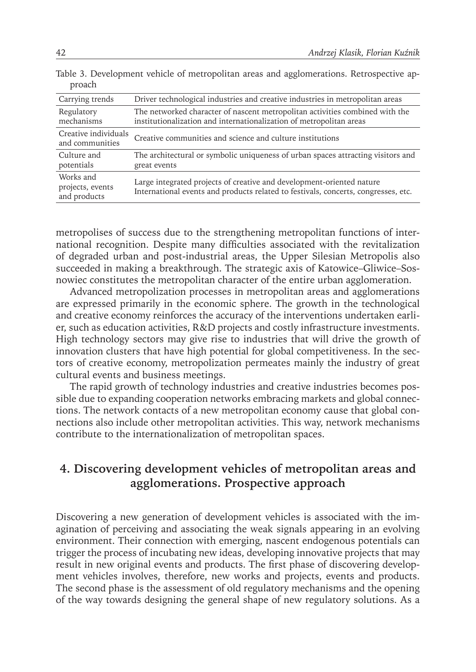| Driver technological industries and creative industries in metropolitan areas                                                                               |  |  |
|-------------------------------------------------------------------------------------------------------------------------------------------------------------|--|--|
| The networked character of nascent metropolitan activities combined with the<br>institutionalization and internationalization of metropolitan areas         |  |  |
| Creative individuals<br>Creative communities and science and culture institutions                                                                           |  |  |
| The architectural or symbolic uniqueness of urban spaces attracting visitors and<br>great events                                                            |  |  |
| Large integrated projects of creative and development-oriented nature<br>International events and products related to festivals, concerts, congresses, etc. |  |  |
|                                                                                                                                                             |  |  |

Table 3. Development vehicle of metropolitan areas and agglomerations. Retrospective approach

metropolises of success due to the strengthening metropolitan functions of international recognition. Despite many difficulties associated with the revitalization of degraded urban and post-industrial areas, the Upper Silesian Metropolis also succeeded in making a breakthrough. The strategic axis of Katowice–Gliwice–Sosnowiec constitutes the metropolitan character of the entire urban agglomeration.

Advanced metropolization processes in metropolitan areas and agglomerations are expressed primarily in the economic sphere. The growth in the technological and creative economy reinforces the accuracy of the interventions undertaken earlier, such as education activities, R&D projects and costly infrastructure investments. High technology sectors may give rise to industries that will drive the growth of innovation clusters that have high potential for global competitiveness. In the sectors of creative economy, metropolization permeates mainly the industry of great cultural events and business meetings.

The rapid growth of technology industries and creative industries becomes possible due to expanding cooperation networks embracing markets and global connections. The network contacts of a new metropolitan economy cause that global connections also include other metropolitan activities. This way, network mechanisms contribute to the internationalization of metropolitan spaces.

## **4. Discovering development vehicles of metropolitan areas and agglomerations. Prospective approach**

Discovering a new generation of development vehicles is associated with the imagination of perceiving and associating the weak signals appearing in an evolving environment. Their connection with emerging, nascent endogenous potentials can trigger the process of incubating new ideas, developing innovative projects that may result in new original events and products. The first phase of discovering development vehicles involves, therefore, new works and projects, events and products. The second phase is the assessment of old regulatory mechanisms and the opening of the way towards designing the general shape of new regulatory solutions. As a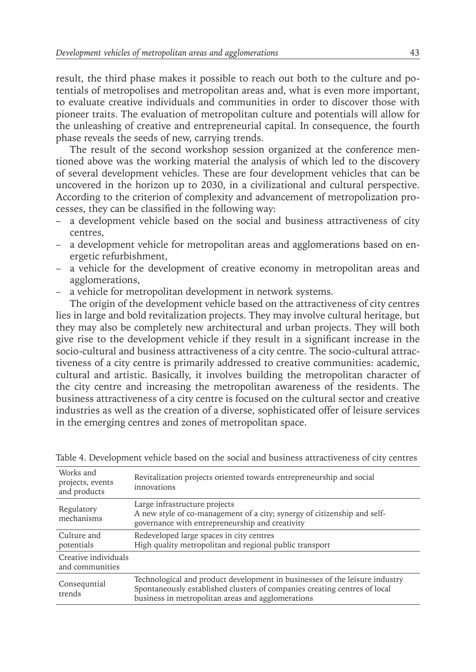result, the third phase makes it possible to reach out both to the culture and potentials of metropolises and metropolitan areas and, what is even more important, to evaluate creative individuals and communities in order to discover those with pioneer traits. The evaluation of metropolitan culture and potentials will allow for the unleashing of creative and entrepreneurial capital. In consequence, the fourth phase reveals the seeds of new, carrying trends.

The result of the second workshop session organized at the conference mentioned above was the working material the analysis of which led to the discovery of several development vehicles. These are four development vehicles that can be uncovered in the horizon up to 2030, in a civilizational and cultural perspective. According to the criterion of complexity and advancement of metropolization processes, they can be classified in the following way:

- a development vehicle based on the social and business attractiveness of city centres,
- a development vehicle for metropolitan areas and agglomerations based on energetic refurbishment,
- a vehicle for the development of creative economy in metropolitan areas and agglomerations,
- a vehicle for metropolitan development in network systems.

The origin of the development vehicle based on the attractiveness of city centres lies in large and bold revitalization projects. They may involve cultural heritage, but they may also be completely new architectural and urban projects. They will both give rise to the development vehicle if they result in a significant increase in the socio-cultural and business attractiveness of a city centre. The socio-cultural attractiveness of a city centre is primarily addressed to creative communities: academic, cultural and artistic. Basically, it involves building the metropolitan character of the city centre and increasing the metropolitan awareness of the residents. The business attractiveness of a city centre is focused on the cultural sector and creative industries as well as the creation of a diverse, sophisticated offer of leisure services in the emerging centres and zones of metropolitan space.

| Works and<br>projects, events<br>and products | Revitalization projects oriented towards entrepreneurship and social<br>innovations                                                                                                                           |
|-----------------------------------------------|---------------------------------------------------------------------------------------------------------------------------------------------------------------------------------------------------------------|
| Regulatory<br>mechanisms                      | Large infrastructure projects<br>A new style of co-management of a city; synergy of citizenship and self-<br>governance with entrepreneurship and creativity                                                  |
| Culture and<br>potentials                     | Redeveloped large spaces in city centres<br>High quality metropolitan and regional public transport                                                                                                           |
| Creative individuals<br>and communities       |                                                                                                                                                                                                               |
| Consequntial<br>trends                        | Technological and product development in businesses of the leisure industry<br>Spontaneously established clusters of companies creating centres of local<br>business in metropolitan areas and agglomerations |

Table 4. Development vehicle based on the social and business attractiveness of city centres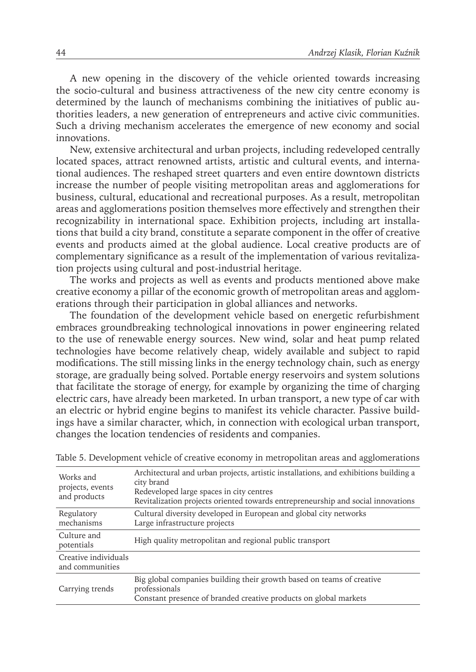A new opening in the discovery of the vehicle oriented towards increasing the socio-cultural and business attractiveness of the new city centre economy is determined by the launch of mechanisms combining the initiatives of public authorities leaders, a new generation of entrepreneurs and active civic communities. Such a driving mechanism accelerates the emergence of new economy and social innovations.

New, extensive architectural and urban projects, including redeveloped centrally located spaces, attract renowned artists, artistic and cultural events, and international audiences. The reshaped street quarters and even entire downtown districts increase the number of people visiting metropolitan areas and agglomerations for business, cultural, educational and recreational purposes. As a result, metropolitan areas and agglomerations position themselves more effectively and strengthen their recognizability in international space. Exhibition projects, including art installations that build a city brand, constitute a separate component in the offer of creative events and products aimed at the global audience. Local creative products are of complementary significance as a result of the implementation of various revitalization projects using cultural and post-industrial heritage.

The works and projects as well as events and products mentioned above make creative economy a pillar of the economic growth of metropolitan areas and agglomerations through their participation in global alliances and networks.

The foundation of the development vehicle based on energetic refurbishment embraces groundbreaking technological innovations in power engineering related to the use of renewable energy sources. New wind, solar and heat pump related technologies have become relatively cheap, widely available and subject to rapid modifications. The still missing links in the energy technology chain, such as energy storage, are gradually being solved. Portable energy reservoirs and system solutions that facilitate the storage of energy, for example by organizing the time of charging electric cars, have already been marketed. In urban transport, a new type of car with an electric or hybrid engine begins to manifest its vehicle character. Passive buildings have a similar character, which, in connection with ecological urban transport, changes the location tendencies of residents and companies.

| Works and<br>projects, events<br>and products | Architectural and urban projects, artistic installations, and exhibitions building a<br>city brand<br>Redeveloped large spaces in city centres<br>Revitalization projects oriented towards entrepreneurship and social innovations |
|-----------------------------------------------|------------------------------------------------------------------------------------------------------------------------------------------------------------------------------------------------------------------------------------|
| Regulatory<br>mechanisms                      | Cultural diversity developed in European and global city networks<br>Large infrastructure projects                                                                                                                                 |
| Culture and<br>potentials                     | High quality metropolitan and regional public transport                                                                                                                                                                            |
| Creative individuals<br>and communities       |                                                                                                                                                                                                                                    |
| Carrying trends                               | Big global companies building their growth based on teams of creative<br>professionals<br>Constant presence of branded creative products on global markets                                                                         |

Table 5. Development vehicle of creative economy in metropolitan areas and agglomerations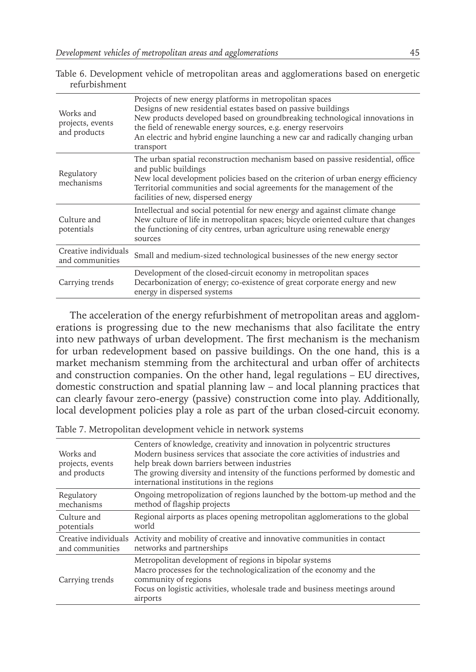| Works and<br>projects, events<br>and products | Projects of new energy platforms in metropolitan spaces<br>Designs of new residential estates based on passive buildings<br>New products developed based on groundbreaking technological innovations in<br>the field of renewable energy sources, e.g. energy reservoirs<br>An electric and hybrid engine launching a new car and radically changing urban<br>transport |
|-----------------------------------------------|-------------------------------------------------------------------------------------------------------------------------------------------------------------------------------------------------------------------------------------------------------------------------------------------------------------------------------------------------------------------------|
| Regulatory<br>mechanisms                      | The urban spatial reconstruction mechanism based on passive residential, office<br>and public buildings<br>New local development policies based on the criterion of urban energy efficiency<br>Territorial communities and social agreements for the management of the<br>facilities of new, dispersed energy                                                           |
| Culture and<br>potentials                     | Intellectual and social potential for new energy and against climate change<br>New culture of life in metropolitan spaces; bicycle oriented culture that changes<br>the functioning of city centres, urban agriculture using renewable energy<br>sources                                                                                                                |
| Creative individuals<br>and communities       | Small and medium-sized technological businesses of the new energy sector                                                                                                                                                                                                                                                                                                |
| Carrying trends                               | Development of the closed-circuit economy in metropolitan spaces<br>Decarbonization of energy; co-existence of great corporate energy and new<br>energy in dispersed systems                                                                                                                                                                                            |

Table 6. Development vehicle of metropolitan areas and agglomerations based on energetic refurbishment

The acceleration of the energy refurbishment of metropolitan areas and agglomerations is progressing due to the new mechanisms that also facilitate the entry into new pathways of urban development. The first mechanism is the mechanism for urban redevelopment based on passive buildings. On the one hand, this is a market mechanism stemming from the architectural and urban offer of architects and construction companies. On the other hand, legal regulations – EU directives, domestic construction and spatial planning law – and local planning practices that can clearly favour zero-energy (passive) construction come into play. Additionally, local development policies play a role as part of the urban closed-circuit economy.

| Works and<br>projects, events<br>and products | Centers of knowledge, creativity and innovation in polycentric structures<br>Modern business services that associate the core activities of industries and<br>help break down barriers between industries<br>The growing diversity and intensity of the functions performed by domestic and<br>international institutions in the regions |
|-----------------------------------------------|------------------------------------------------------------------------------------------------------------------------------------------------------------------------------------------------------------------------------------------------------------------------------------------------------------------------------------------|
| Regulatory                                    | Ongoing metropolization of regions launched by the bottom-up method and the                                                                                                                                                                                                                                                              |
| mechanisms                                    | method of flagship projects                                                                                                                                                                                                                                                                                                              |
| Culture and                                   | Regional airports as places opening metropolitan agglomerations to the global                                                                                                                                                                                                                                                            |
| potentials                                    | world                                                                                                                                                                                                                                                                                                                                    |
| Creative individuals                          | Activity and mobility of creative and innovative communities in contact                                                                                                                                                                                                                                                                  |
| and communities                               | networks and partnerships                                                                                                                                                                                                                                                                                                                |
| Carrying trends                               | Metropolitan development of regions in bipolar systems<br>Macro processes for the technologicalization of the economy and the<br>community of regions<br>Focus on logistic activities, wholesale trade and business meetings around<br>airports                                                                                          |

Table 7. Metropolitan development vehicle in network systems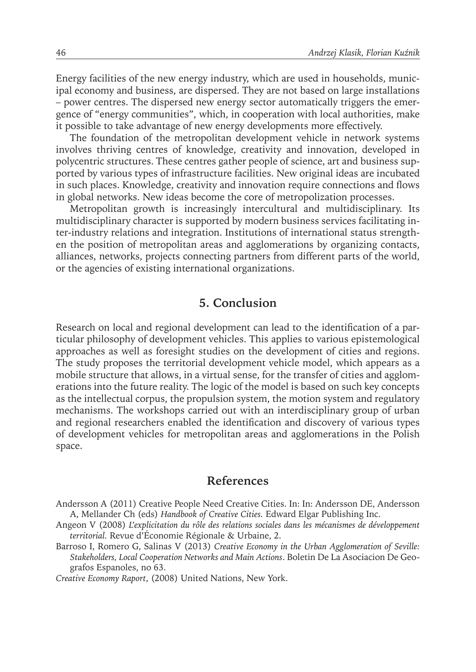Energy facilities of the new energy industry, which are used in households, municipal economy and business, are dispersed. They are not based on large installations – power centres. The dispersed new energy sector automatically triggers the emergence of "energy communities", which, in cooperation with local authorities, make it possible to take advantage of new energy developments more effectively.

The foundation of the metropolitan development vehicle in network systems involves thriving centres of knowledge, creativity and innovation, developed in polycentric structures. These centres gather people of science, art and business supported by various types of infrastructure facilities. New original ideas are incubated in such places. Knowledge, creativity and innovation require connections and flows in global networks. New ideas become the core of metropolization processes.

Metropolitan growth is increasingly intercultural and multidisciplinary. Its multidisciplinary character is supported by modern business services facilitating inter-industry relations and integration. Institutions of international status strengthen the position of metropolitan areas and agglomerations by organizing contacts, alliances, networks, projects connecting partners from different parts of the world, or the agencies of existing international organizations.

## **5. Conclusion**

Research on local and regional development can lead to the identification of a particular philosophy of development vehicles. This applies to various epistemological approaches as well as foresight studies on the development of cities and regions. The study proposes the territorial development vehicle model, which appears as a mobile structure that allows, in a virtual sense, for the transfer of cities and agglomerations into the future reality. The logic of the model is based on such key concepts as the intellectual corpus, the propulsion system, the motion system and regulatory mechanisms. The workshops carried out with an interdisciplinary group of urban and regional researchers enabled the identification and discovery of various types of development vehicles for metropolitan areas and agglomerations in the Polish space.

#### **References**

- Angeon V (2008) *L'explicitation du rôle des relations sociales dans les mécanismes de développement territorial.* Revue d'Économie Régionale & Urbaine, 2.
- Barroso I, Romero G, Salinas V (2013) *Creative Economy in the Urban Agglomeration of Seville: Stakeholders, Local Cooperation Networks and Main Actions*. Boletin De La Asociacion De Geografos Espanoles, no 63.

*Creative Economy Raport*, (2008) United Nations, New York.

Andersson A (2011) Creative People Need Creative Cities. In: In: Andersson DE, Andersson A, Mellander Ch (eds) *Handbook of Creative Cities.* Edward Elgar Publishing Inc.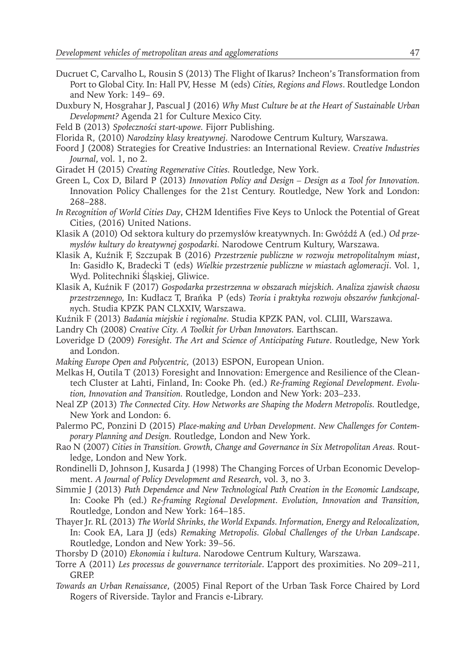- Ducruet C, Carvalho L, Rousin S (2013) The Flight of Ikarus? Incheon's Transformation from Port to Global City. In: Hall PV, Hesse M (eds) *Cities, Regions and Flows*. Routledge London and New York: 149– 69.
- Duxbury N, Hosgrahar J, Pascual J (2016) *Why Must Culture be at the Heart of Sustainable Urban Development?* Agenda 21 for Culture Mexico City.
- Feld B (2013) *Społeczności start-upowe.* Fijorr Publishing.
- Florida R, (2010) *Narodziny klasy kreatywnej.* Narodowe Centrum Kultury, Warszawa.
- Foord J (2008) Strategies for Creative Industries: an International Review*. Creative Industries Journal*, vol. 1, no 2.
- Giradet H (2015) *Creating Regenerative Cities.* Routledge, New York.
- Green L, Cox D, Bilard P (2013) *Innovation Policy and Design Design as a Tool for Innovation.*  Innovation Policy Challenges for the 21st Century. Routledge, New York and London: 268–288.
- *In Recognition of World Cities Day*, CH2M Identifies Five Keys to Unlock the Potential of Great Cities, (2016) United Nations.
- Klasik A (2010) Od sektora kultury do przemysłów kreatywnych. In: Gwóźdź A (ed.) *Od przemysłów kultury do kreatywnej gospodarki.* Narodowe Centrum Kultury, Warszawa.
- Klasik A, Kuźnik F, Szczupak B (2016) *Przestrzenie publiczne w rozwoju metropolitalnym miast*, In: Gasidło K, Bradecki T (eds) *Wielkie przestrzenie publiczne w miastach aglomeracji*. Vol. 1, Wyd. Politechniki Śląskiej, Gliwice.
- Klasik A, Kuźnik F (2017) *Gospodarka przestrzenna w obszarach miejskich. Analiza zjawisk chaosu przestrzennego,* In: Kudłacz T, Brańka P (eds) *Teoria i praktyka rozwoju obszarów funkcjonaln*ych. Studia KPZK PAN CLXXIV, Warszawa.
- Kuźnik F (2013) *Badania miejskie i regionalne.* Studia KPZK PAN, vol. CLIII, Warszawa.
- Landry Ch (2008) *Creative City. A Toolkit for Urban Innovators.* Earthscan.
- Loveridge D (2009) *Foresight. The Art and Science of Anticipating Future*. Routledge, New York and London.
- *Making Europe Open and Polycentric,* (2013) ESPON, European Union.
- Melkas H, Outila T (2013) Foresight and Innovation: Emergence and Resilience of the Cleantech Cluster at Lahti, Finland, In: Cooke Ph. (ed.) *Re-framing Regional Development. Evolution, Innovation and Transition.* Routledge, London and New York: 203–233.
- Neal ZP (2013) *The Connected City. How Networks are Shaping the Modern Metropolis.* Routledge, New York and London: 6.
- Palermo PC, Ponzini D (2015) *Place-making and Urban Development. New Challenges for Contemporary Planning and Design.* Routledge, London and New York.
- Rao N (2007) *Cities in Transition. Growth, Change and Governance in Six Metropolitan Areas.* Routledge, London and New York.
- Rondinelli D, Johnson J, Kusarda J (1998) The Changing Forces of Urban Economic Development. *A Journal of Policy Development and Research*, vol. 3, no 3.
- Simmie J (2013) *Path Dependence and New Technological Path Creation in the Economic Landscape,*  In: Cooke Ph (ed.) *Re-framing Regional Development. Evolution, Innovation and Transition,*  Routledge, London and New York: 164–185.
- Thayer Jr. RL (2013) *The World Shrinks, the World Expands. Information, Energy and Relocalization,*  In: Cook EA, Lara JJ (eds) *Remaking Metropolis. Global Challenges of the Urban Landscape*. Routledge, London and New York: 39–56.
- Thorsby D (2010) *Ekonomia i kultura*. Narodowe Centrum Kultury, Warszawa.
- Torre A (2011) *Les processus de gouvernance territoriale*. L'apport des proximities. No 209–211, GREP.
- *Towards an Urban Renaissance*, (2005) Final Report of the Urban Task Force Chaired by Lord Rogers of Riverside. Taylor and Francis e-Library.